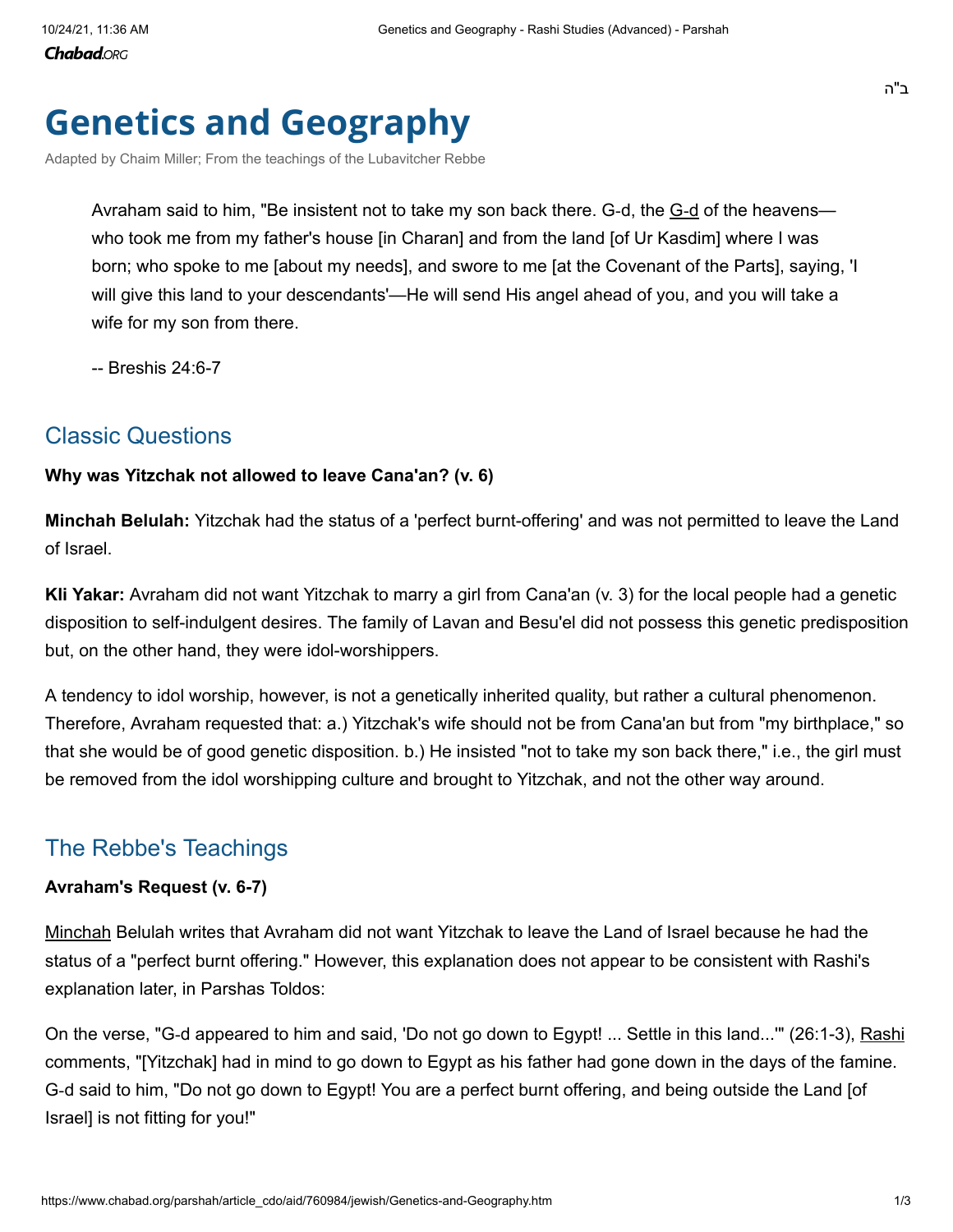**Chabad.**ORG

# **Genetics and Geography**

[Adapted by Chaim Miller; From the teachings of the Lubavitcher Rebbe](https://www.chabad.org/search/keyword_cdo/kid/12583/jewish/Chaim-Miller-adapted-from-the-Rebbe.htm)

Avraham said to him, "Be insistent not to take my son back there. [G](https://www.chabad.org/library/article_cdo/aid/433240/jewish/God.htm)-d, the <u>G-d</u> of the heavens who took me from my father's house [in Charan] and from the land [of Ur Kasdim] where I was born; who spoke to me [about my needs], and swore to me [at the Covenant of the Parts], saying, 'I will give this land to your descendants'—He will send His angel ahead of you, and you will take a wife for my son from there.

-- Breshis 24:6-7

### Classic Questions

### **Why was Yitzchak not allowed to leave Cana'an? (v. 6)**

**Minchah Belulah:** Yitzchak had the status of a 'perfect burnt-offering' and was not permitted to leave the Land of Israel.

**Kli Yakar:** Avraham did not want Yitzchak to marry a girl from Cana'an (v. 3) for the local people had a genetic disposition to self-indulgent desires. The family of Lavan and Besu'el did not possess this genetic predisposition but, on the other hand, they were idol-worshippers.

A tendency to idol worship, however, is not a genetically inherited quality, but rather a cultural phenomenon. Therefore, Avraham requested that: a.) Yitzchak's wife should not be from Cana'an but from "my birthplace," so that she would be of good genetic disposition. b.) He insisted "not to take my son back there," i.e., the girl must be removed from the idol worshipping culture and brought to Yitzchak, and not the other way around.

## The Rebbe's Teachings

### **Avraham's Request (v. 6-7)**

[Minchah](https://www.chabad.org/library/article_cdo/aid/890092/jewish/Minchah-Afternoon-Prayer.htm) Belulah writes that Avraham did not want Yitzchak to leave the Land of Israel because he had the status of a "perfect burnt offering." However, this explanation does not appear to be consistent with Rashi's explanation later, in Parshas Toldos:

On the verse, "G-d appeared to him and said, 'Do not go down to Egypt! ... Settle in this land..."" (26:1-3), [Rashi](https://www.chabad.org/library/article_cdo/aid/111831/jewish/Rashi-Rabbi-Shlomo-Yitzchaki.htm) comments, "[Yitzchak] had in mind to go down to Egypt as his father had gone down in the days of the famine. G-d said to him, "Do not go down to Egypt! You are a perfect burnt offering, and being outside the Land [of Israel] is not fitting for you!"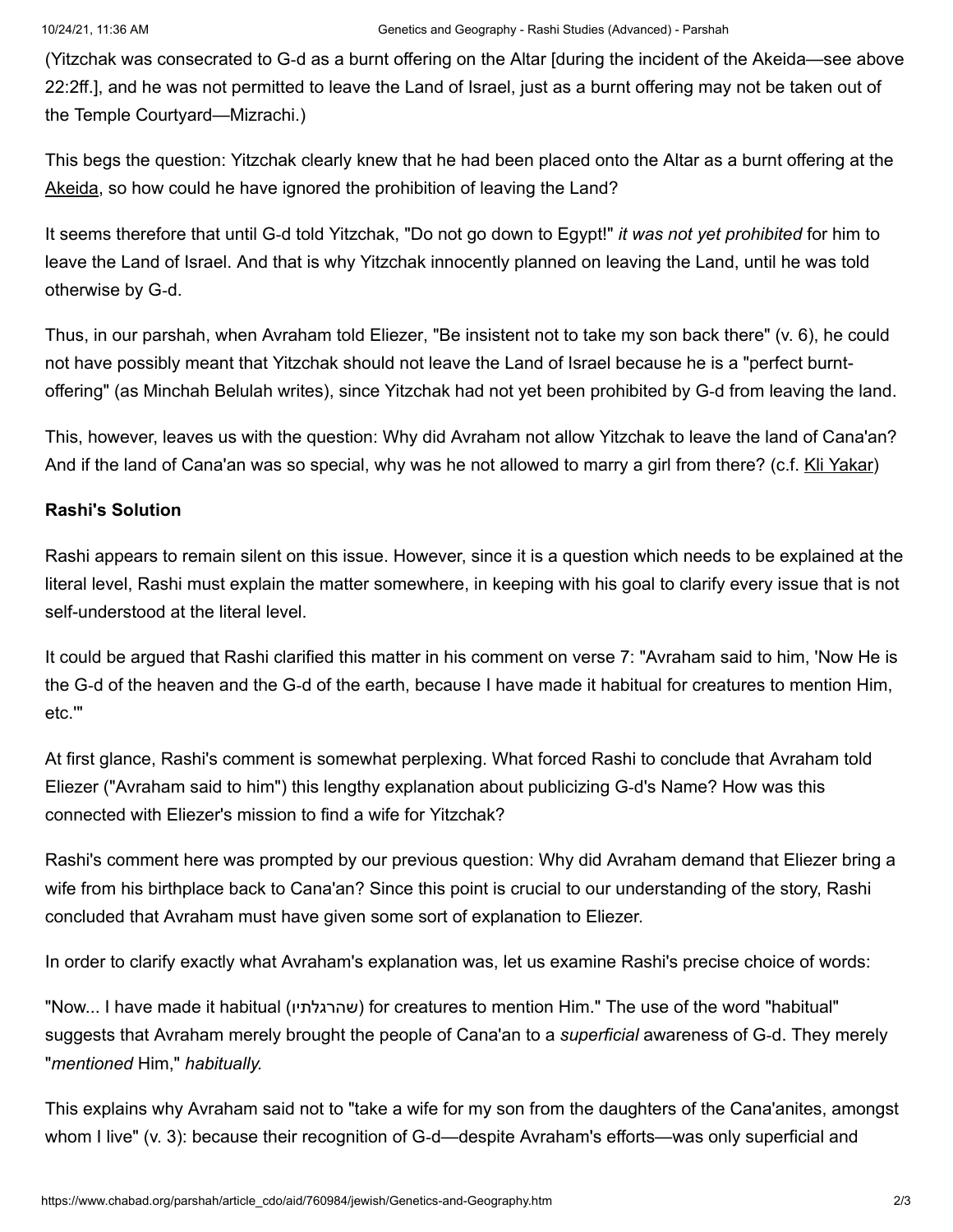(Yitzchak was consecrated to G‑d as a burnt offering on the Altar [during the incident of the Akeida—see above 22:2ff.], and he was not permitted to leave the Land of Israel, just as a burnt offering may not be taken out of the Temple Courtyard—Mizrachi.)

This begs the question: Yitzchak clearly knew that he had been placed onto the Altar as a burnt offering at the [Akeida,](https://www.chabad.org/library/article_cdo/aid/91458/jewish/The-Ultimate-Test-of-Abraham.htm) so how could he have ignored the prohibition of leaving the Land?

It seems therefore that until G‑d told Yitzchak, "Do not go down to Egypt!" *it was not yet prohibited* for him to leave the Land of Israel. And that is why Yitzchak innocently planned on leaving the Land, until he was told otherwise by G‑d.

Thus, in our parshah, when Avraham told Eliezer, "Be insistent not to take my son back there" (v. 6), he could not have possibly meant that Yitzchak should not leave the Land of Israel because he is a "perfect burntoffering" (as Minchah Belulah writes), since Yitzchak had not yet been prohibited by G‑d from leaving the land.

This, however, leaves us with the question: Why did Avraham not allow Yitzchak to leave the land of Cana'an? And if the land of Cana'an was so special, why was he not allowed to marry a girl from there? (c.f. [Kli Yakar\)](https://www.chabad.org/calendar/view/day_cdo/aid/2929634/jewish/Passing-of-Rabbi-Shlomo-Ephraim-of-Luntschitz-Kli-Yakar.htm)

#### **Rashi's Solution**

Rashi appears to remain silent on this issue. However, since it is a question which needs to be explained at the literal level, Rashi must explain the matter somewhere, in keeping with his goal to clarify every issue that is not self-understood at the literal level.

It could be argued that Rashi clarified this matter in his comment on verse 7: "Avraham said to him, 'Now He is the G‑d of the heaven and the G‑d of the earth, because I have made it habitual for creatures to mention Him, etc.'"

At first glance, Rashi's comment is somewhat perplexing. What forced Rashi to conclude that Avraham told Eliezer ("Avraham said to him") this lengthy explanation about publicizing G‑d's Name? How was this connected with Eliezer's mission to find a wife for Yitzchak?

Rashi's comment here was prompted by our previous question: Why did Avraham demand that Eliezer bring a wife from his birthplace back to Cana'an? Since this point is crucial to our understanding of the story, Rashi concluded that Avraham must have given some sort of explanation to Eliezer.

In order to clarify exactly what Avraham's explanation was, let us examine Rashi's precise choice of words:

"Now... I have made it habitual (שהרגלתיו (for creatures to mention Him." The use of the word "habitual" suggests that Avraham merely brought the people of Cana'an to a *superficial* awareness of G‑d. They merely "*mentioned* Him," *habitually.*

This explains why Avraham said not to "take a wife for my son from the daughters of the Cana'anites, amongst whom I live" (v. 3): because their recognition of G-d—despite Avraham's efforts—was only superficial and